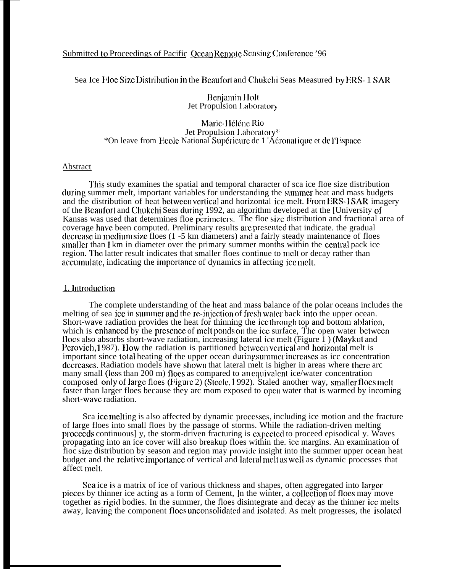# Submitted to Proceedings of Pacific Ocean Remote Sensing Conference '96

Sea Ice Floe Size Distribution in the Beaufort and Chukchi Seas Measured by ERS-1 SAR

**Benjamin Holt** Jet Propulsion Laboratory

## Marie-Héléne Rio Jet Propulsion Laboratory\* \*On leave from Ecole National Supérieure de 1 'Aéronatique et de l'Hispace

### Abstract

This study examines the spatial and temporal character of sca ice floe size distribution during summer melt, important variables for understanding the summer heat and mass budgets and the distribution of heat between vertical and horizontal ice melt. From ERS-1SAR imagery of the Beaufort and Chukchi Seas during 1992, an algorithm developed at the [University of Kansas was used that determines floe perimeters. The floe size distribution and fractional area of coverage have been computed. Preliminary results are presented that indicate, the gradual decrease in medium size floes (1 -5 km diameters) and a fairly steady maintenance of floes smaller than 1 km in diameter over the primary summer months within the central pack ice region. The latter result indicates that smaller floes continue to melt or decay rather than accumulate, indicating the importance of dynamics in affecting ice melt.

## 1. Introduction

The complete understanding of the heat and mass balance of the polar oceans includes the melting of sea ice in summer and the re-injection of fresh water back into the upper ocean. Short-wave radiation provides the heat for thinning the icethrough top and bottom ablation, which is enhanced by the presence of melt ponds on the ice surface. The open water between flocs also absorbs short-wave radiation, increasing lateral ice melt (Figure 1) (Maykut and Perovich, 1987). How the radiation is partitioned between vertical and horizontal melt is important since total heating of the upper ocean during summer increases as icc concentration decreases. Radiation models have shown that lateral melt is higher in areas where there are many small (less than 200 m) flocs as compared to an equivalent ice/water concentration composed only of large floes (Figure 2) (Steele, 1992). Staled another way, smaller floes melt faster than larger floes because they arc mom exposed to open water that is warmed by incoming short-wave radiation.

Sca ice melting is also affected by dynamic processes, including ice motion and the fracture of large floes into small floes by the passage of storms. While the radiation-driven melting proceeds continuous] y, the storm-driven fracturing is expected to proceed episodical y. Waves propagating into an ice cover will also breakup floes within the ice margins. An examination of fioc size distribution by season and region may provide insight into the summer upper ocean heat budget and the relative importance of vertical and lateral melt as well as dynamic processes that affect melt.

Sea ice is a matrix of ice of various thickness and shapes, often aggregated into larger pieces by thinner ice acting as a form of Cement, In the winter, a collection of flocs may move together as rigid bodies. In the summer, the floes disintegrate and decay as the thinner ice melts away, leaving the component flocs unconsolidated and isolated. As melt progresses, the isolated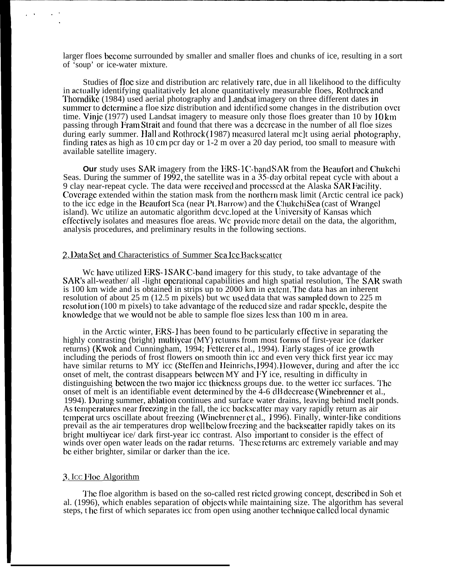larger floes bccomc surrounded by smaller and smaller floes and chunks of ice, resulting in a sort of 'soup' or ice-water mixture.

Studies of floc size and distribution arc relatively rare, due in all likelihood to the difficulty in actually identifying qualitatively let alone quantitatively measurable floes, Rothrock and Thorndike (1984) used aerial photography and 1 andsat imagery on three different dates in summer to determine a floe size distribution and identified some changes in the distribution over time. Vinje (1977) used Landsat imagery to measure only those floes greater than 10 by  $10 \text{ km}$ passing through Fram Strait and found that there was a decrease in the number of all floe sizes during early summer. Hall and Rothrock (1987) measured lateral mc]t using aerial photography, finding rates as high as 10 cm pcr day or  $1-2$  m over a 20 day period, too small to measure with available satellite imagery.

**Our** study uses SAR imagery from the ERS-1C-band SAR from the Bcaufort and Chukchi Seas. During the summer of 1992, the satellite was in a 35-day orbital repeat cycle with about a 9 clay near-repeat cycle. The data were received and processed at the Alaska SAR Facility. Coverage extended within the station mask from the northern mask limit (Arctic central ice pack) to the icc edge in the Beaufort Sca (near Pt. Barrow) and the Chukchi Sea (cast of Wrangel island). We utilize an automatic algorithm developed at the University of Kansas which cffcctivcly isolates and measures floe areas. Wc proviclc mm detail on the data, the algorithm, analysis procedures, and preliminary results in the following sections.

#### 2. Data Sct and Characteristics of Summer Sea Ice Backscatter

We have utilized ERS-1SAR C-band imagery for this study, to take advantage of the SAR's all-weather/ all -light operational capabilities and high spatial resolution, The SAR swath is 100 km wide and is obtained in strips up to 2000 km in cxlcnt, 7'hc data has an inherent resolution of about 25 m (12.5 m pixels) but wc used data that was sampled down to 225 m resolution (100 m pixels) to take advantage of the reduced size and radar speckle, despite the knowledge that we would not be able to sample floe sizes less than 100 m in area.

in the Arctic winter, ERS- 1 has been found to bc particularly cffcctivc in separating the highly contrasting (bright) multiyear (MY) returns from most forms of first-year ice (darker returns) (Kwok and Cunningham, 1994; Fetterer et al., 1994). Early stages of ice growth including the periods of frost flowers on smooth thin icc and even very thick first year icc may have similar returns to MY icc (Steffen and Heinrichs, 1994). However, during and after the icc onset of melt, the contrast disappears between MY and  $\overrightarrow{I}$  ice, resulting in difficulty in distinguishing bctwccn the two major icc tbickncss groups due. to the wetter icc surfaces. '1'hc onset of melt is an identifiable event determined by the  $\overline{4}$ -6 dB decrease (Winebrenner et al., 1994). During summer, ablation continues and surface water drains, leaving behind melt ponds. As temperatures near freezing in the fall, the icc backscatter may vary rapidly return as air temperat urcs oscillate about freezing (Winebrenner et al., 1996). Finally, winter-like conditions prevail as the air temperatures drop well below freezing and the backscatter rapidly takes on its bright multiyear ice/ dark first-year icc contrast. Also important to consider is the effect of winds over open water leads on the radar returns. These returns arc extremely variable and may bc either brighter, similar or darker than the ice.

# 3. Icc Floc Algorithm

The floe algorithm is based on the so-called rest ricted growing concept, described in Soh et al. (1996), which enables separation of objects while maintaining size. The algorithm has several steps, t hc first of which separates icc from open using another tcchniquc cal Icd local dynamic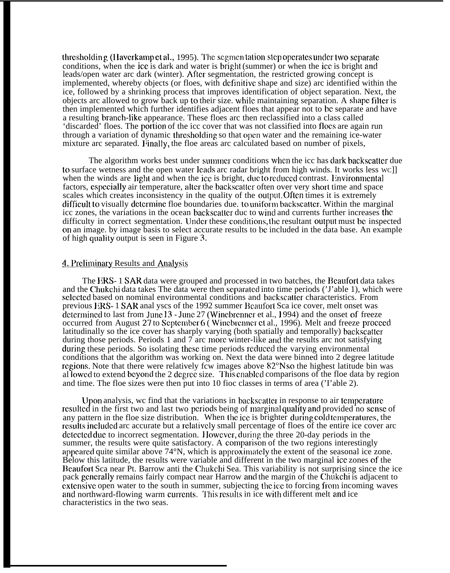thresholding (Haverkamp et al., 1995). The segmentation step operates under two separate conditions, when the ice is dark and water is bright (summer) or when the icc is bright and leads/open water arc dark (winter). After segmentation, the restricted growing concept is implemented, whereby objects (or floes, with definitive shape and size) arc identified within the ice, followed by a shrinking process that improves identification of object separation. Next, the objects arc allowed to grow back up to their size. while maintaining separation. A shape filter is then implemented which further identifies adjacent floes that appear not to bc separate and have a resulting branch-]ikc appearance. These floes arc then reclassified into a class called 'discarded' floes. The porlion of the icc cover that was not classified into fiocs are again run through a variation of dynamic thresholding so that open water and the remaining ice-water mixture arc separated. Finally, the floe areas arc calculated based on number of pixels,

The algorithm works best under summer conditions when the icc has dark backscatter due to surface wetness and the open water leads arc radar bright from high winds. It works less wc]] when the winds are light and when the ice is bright, duc to reduced contrast. Environmental factors, especially air temperature, alter the backscatter often over very short time and space scales which creates inconsistency in the quality of the output. Often times it is extremely difficult to visually determine floe boundaries due. to uniform backscatter, Within the marginal icc zones, the variations in the ocean backscatter duc to wind and currents further increases the difficulty in correct segmentation. Under these conditions, the resultant output must be inspected on an image. by image basis to select accurate results to bc. included in the data base. An example of high quality output is seen in Figure  $3$ .

### 4. Preliminary Results and Analysis

The ERS- 1 SAR data were grouped and processed in two batches, the Beaufort data takes and the Chukchi data takes The data were then separated into time periods ('J'able 1), which were sclected based on nominal environmental conditions and backscatter characteristics. From previous ERS- 1 SAR anal yscs of the 1992 summer Beaufort Sca ice cover, melt onset was determined to last from June  $13$  - June  $27$  (Winebrenner et al., 1994) and the onset of freeze occurred from August 27 to September  $6$  (Winebrenner et al., 1996). Melt and freeze proceed latitudinally so the ice cover has sharply varying (both spatially and temporally) backscattcr during those periods. Periods 1 and  $\bar{\tau}$  arc more winter-like and the results arc not satisfying during these periods. So isolating these time periods reduced the varying environmental conditions that the algorithm was working on. Next the data were binned into 2 degree latitude regions. Note that there were relatively fcw images above 82°N so the highest latitude bin was al lowed to extend beyond the 2 degree size. This enabled comparisons of the floe data by region and time. The floe sizes were then put into 10 fioc classes in terms of area ('I'able 2).

Upon analysis, we find that the variations in backscatter in response to air temperature. resulted in the first two and last two periods being of marginal quality and provided no sense of any pattern in the floe size distribution. When the ice is brighter during cold temperatures, the results included arc accurate but a relatively small percentage of floes of the entire ice cover arc  $\alpha$  detected due to incorrect segmentation. However, during the three 20-day periods in the summer, the results were quite satisfactory. A comparison of the two regions interestingly appeared quite similar above  $74^{\circ}$ N, which is approximately the extent of the seasonal ice zone. Below this latitude, the results were variable and different in the two marginal ice zones of the Beaufort Sca near Pt. Barrow anti the Chukchi Sea. This variability is not surprising since the ice pack generally remains fairly compact near Harrow and the margin of the Chukchi is adjacent to cxtcnsivc open water to the south in summer, subjecting the ice. to forcing from incoming waves and northward-flowing warm currents. This results in ice with different melt and ice characteristics in the two seas.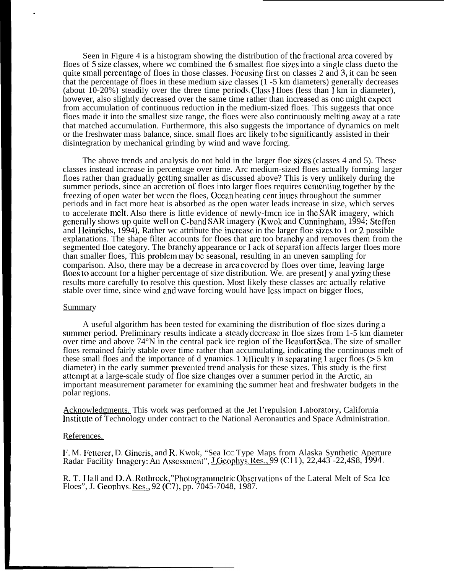Seen in Figure 4 is a histogram showing the distribution of the fractional area covered by floes of 5 size classes, where wc combined the 6 smallest floe sizes into a single class due to the quite small percentage of floes in those classes. Focusing first on classes 2 and 3, it can be seen that the percentage of floes in these medium size classes  $(1 - 5)$  km diameters) generally decreases (about  $10-20%$ ) steadily over the three time periods. Class 1 floes (less than  $\overline{1}$  km in diameter), however, also slightly decreased over the same time rather than increased as onc might expect from accumulation of continuous reduction in the medium-sized floes. This suggests that once floes made it into the smallest size range, the floes were also continuously melting away at a rate that matched accumulation. Furthermore, this also suggests the importance of dynamics on melt or the freshwater mass balance, since. small floes arc likely to be significantly assisted in their disintegration by mechanical grinding by wind and wave forcing.

The above trends and analysis do not hold in the larger floe sizes (classes 4 and 5). These classes instead increase in percentage over time. Arc medium-sized floes actually forming larger floes rather than gradually getting smaller as discussed above? This is very unlikely during the summer periods, since an accretion of floes into larger floes requires ccmcnting together by the freezing of open water bet wccn the floes, Occan heating cent inucs throughout the summer periods and in fact more heat is absorbed as the open water leads increase in size, which serves to accelerate melt, Also there is little evidence of newly-fmcn ice in the SAR imagery, which generally shows up quite well on C-band SAR imagery (Kwok and Cunningham,  $1994$ ; Steffen and Heinrichs, 1994), Rather wc attribute the increase in the larger floe sizes to 1 or 2 possible explanations. The shape filter accounts for floes that are too branchy and removes them from the segmented floe category. The branchy appearance or I ack of scparat ion affects larger floes more than smaller floes, This problcm may bc seasonal, resulting in an uneven sampling for comparison. Also, there may be a decrease in area covcrcd by floes over time, leaving large floes to account for a higher percentage of size distribution. We, are present y anal yzing these results more carefully to resolve this question. Most likely these classes arc actually relative stable over time, since wind and wave forcing would have less impact on bigger floes,

#### **Summary**

.

A useful algorithm has been tested for examining the distribution of floe sizes during a summer period. Preliminary results indicate a steady decrease in floe sizes from 1-5 km diameter over time and above  $74^{\circ}$ N in the central pack ice region of the Beaufort Sca. The size of smaller floes remained fairly stable over time rather than accumulating, indicating the continuous melt of these small floes and the importance of d ynamics. 1 ) if ficult y in separating 1 arger floes ( $> 5 \text{ km}$ ) diameter) in the early summer prevented trend analysis for these sizes. This study is the first atlcmpt at a large-scale study of floe size changes over a summer period in the Arctic, an important measurement parameter for examining the summer heat and freshwater budgets in the polar regions.

Acknowledgments. This work was performed at the Jet l'repulsion 1.aboratory, California lnstit ute of Technology under contract to the National Aeronautics and Space Administration.

#### References.

l<sup>:</sup>. M. Fetterer, D. Gineris, and R. Kwok, "Sea Icc Type Maps from Alaska Synthetic Aperture Radar Facility Imagery: An Assessment", <u>J Geophys. Res., 99</u> (C11), 22,443 -22,4S8, 1994.

R. T. Hall and D.A. Rothrock, "Photogrammetric Observations of the Lateral Melt of Sca Ice Floes", J. Geophys. Res., 92 (C7), pp. 7045-7048, 1987.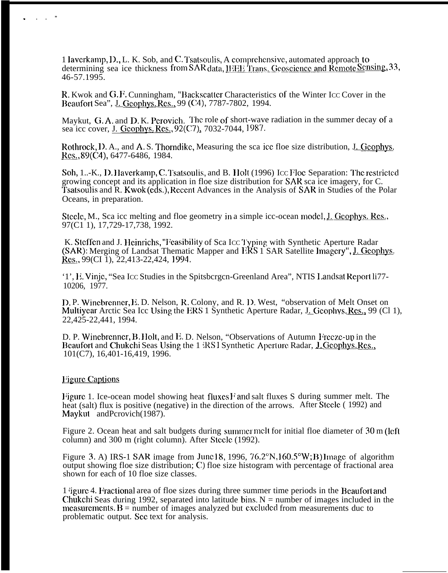1 Javerkamp, D., L. K. Sob, and C. Tsatsoulis, A comprehensive, automated approach to determining sea ice thickness from SAR data, IEEE Trans. Geoscience and Remote Sensing, 33,  $46 - 57.199\overline{5}$ .

R. Kwok and G.F. Cunningham, "Backscatter Characteristics of the Winter Icc Cover in the Beaufort Sea", J. Geophys. Res., 99 (C4), 7787-7802, 1994.

Maykut, G.A. and D.K. Perovich. The role of short-wave radiation in the summer decay of a sea icc cover, J. Geophys. Res., 92(C7), 7032-7044, 1987.

Rothrock, D. A., and A. S. Thorndike, Measuring the sca ice floe size distribution, J. Geophys. Res., 89(C4), 6477-6486, 1984.

Soh, 1..-K., D. Haverkamp, C. Tsatsoulis, and B. Holt (1996) Icc Floe Separation: The restricted growing concept and its application in floe size distribution for SAR sca ice imagery, for C.<br>Tsatsoulis and R. Kwok (eds.), Recent Advances in the Analysis of SAR in Studies of the Polar Oceans, in preparation.

Steele, M., Sca icc melting and floe geometry in a simple icc-ocean model, J. Geophys. Res., 97(C1 1), 17,729-17,738, 1992.

K. Steffen and J. Heinrichs, "Feasibility of Sca Icc Typing with Synthetic Aperture Radar (SAR): Merging of Landsat Thematic Mapper and ERS 1 SAR Satellite Imagery", J. Geophys. Res., 99(CI 1), 22,413-22,424, 1994.

'1', E. Vinje, "Sea Icc Studies in the Spitsbergen-Greenland Area", NTIS Landsat Report li77-10206, 1977.

D.P. Winebrenner, E.D. Nelson, R. Colony, and R. D. West, "observation of Melt Onset on Multiyear Arctic Sea Icc Using the ERS 1 Synthetic Aperture Radar, J. Geophys. Res., 99 (Cl 1), 22,425-22,441, 1994.

D. P. Winebrenner, B. Holt, and E. D. Nelson, "Observations of Autumn Freeze-up in the Beaufort and Chukchi Seas Using the 1 RS1 Synthetic Aperture Radar, J. Geophys. Res.,  $101(C7)$ , 16, 401 - 16, 419, 1996.

#### **Figure Captions**

Figure 1. Ice-ocean model showing heat fluxes F and salt fluxes S during summer melt. The heat (salt) flux is positive (negative) in the direction of the arrows. After Steele (1992) and Maykut and Perovich (1987).

Figure 2. Ocean heat and salt budgets during summer melt for initial floe diameter of 30 m (left column) and 300 m (right column). After Steele (1992).

Figure 3. A) IRS-1 SAR image from June 18, 1996, 76.2°N, 160.5°W; B) Image of algorithm output showing floe size distribution; C) floe size histogram with percentage of fractional area shown for each of 10 floe size classes.

1 igure 4. Fractional area of floe sizes during three summer time periods in the Beaufort and Chukchi Seas during 1992, separated into latitude bins,  $N =$  number of images included in the measurements  $B =$  number of images analyzed but excluded from measurements due to problematic output. See text for analysis.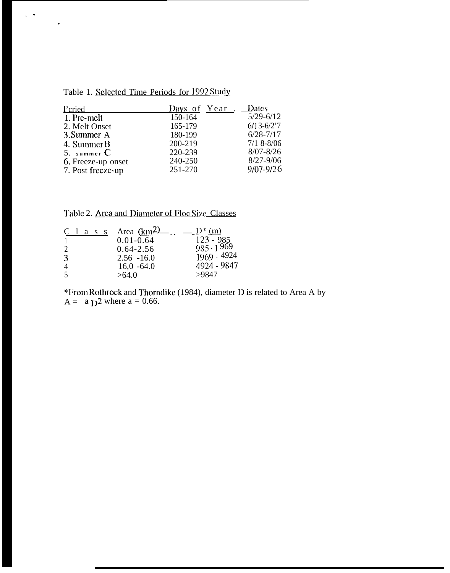|  | Table 1. Selected Time Periods for 1992 Study |  |  |  |
|--|-----------------------------------------------|--|--|--|
|  |                                               |  |  |  |

 $\zeta$  .  $\tilde{\tau}$ 

| l'cried            | Days of Year. | <b>Dates</b>   |
|--------------------|---------------|----------------|
| 1. Pre-melt        | 150-164       | $5/29 - 6/12$  |
| 2. Melt Onset      | 165-179       | $6/13 - 6/2'7$ |
| 3. Summer A        | 180-199       | $6/28 - 7/17$  |
| 4. Summer B        | 200-219       | $7/18 - 8/06$  |
| 5. summer C        | 220-239       | $8/07 - 8/26$  |
| 6. Freeze-up onset | 240-250       | $8/27 - 9/06$  |
| 7. Post freeze-up  | 251-270       | $9/07 - 9/26$  |

Table 2. Area and Diameter of Floc Size Classes

|                             |  | C l a s $s$ | Area (km <sup>2</sup> ) | $10^*$ (m)       |
|-----------------------------|--|-------------|-------------------------|------------------|
|                             |  |             | $0.01 - 0.64$           | $123 - 985$      |
| $\mathcal{D}_{\mathcal{L}}$ |  |             | $0.64 - 2.56$           | $985 \cdot 1969$ |
| 3                           |  |             | $2.56 - 16.0$           | $1969 - 4924$    |
| 4                           |  |             | $16,0 -64.0$            | 4924 - 9847      |
| $\overline{\mathcal{L}}$    |  |             | >64.0                   | >9847            |

\*From Rothrock and Thorndike (1984), diameter D is related to Area A by  $A = a_D^2$  where  $a = 0.66$ .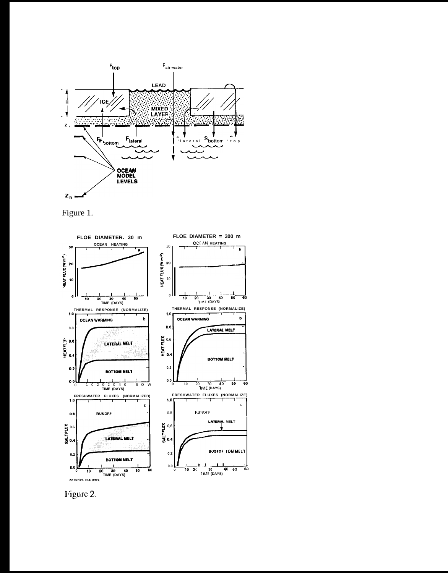

Figure 1.



Figure 2.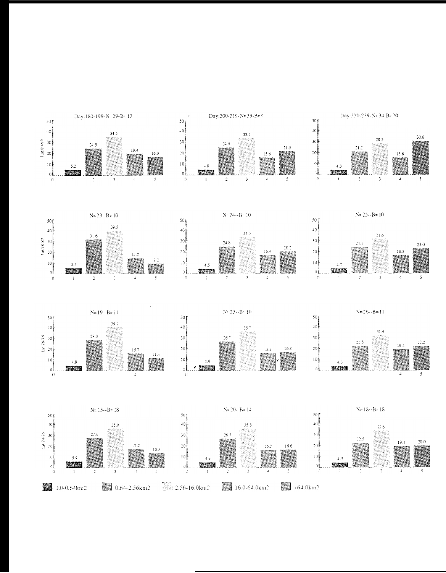